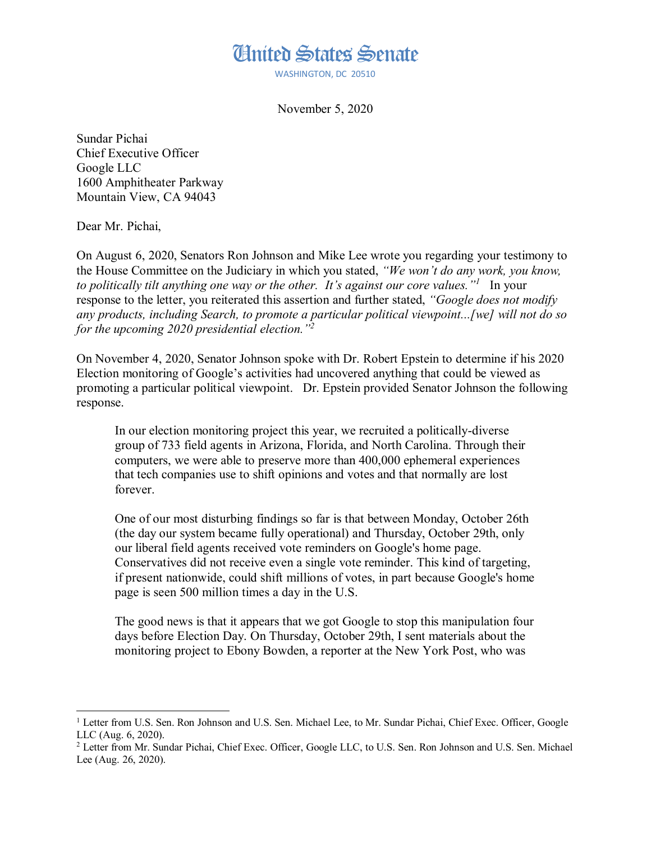## United States Senate

WASHINGTON, DC 20510

November 5, 2020

Sundar Pichai Chief Executive Officer Google LLC 1600 Amphitheater Parkway Mountain View, CA 94043

Dear Mr. Pichai,

 $\overline{a}$ 

On August 6, 2020, Senators Ron Johnson and Mike Lee wrote you regarding your testimony to the House Committee on the Judiciary in which you stated, "We won't do any work, you know, *to politically tilt anything one way or the other. It¶s against our core values.´<sup>1</sup>* In your response to the letter, you reiterated this assertion and further stated, "Google does not modify" *any products, including Search, to promote a particular political viewpoint...[we] will not do so for the upcoming 2020 presidential election.´<sup>2</sup>*

On November 4, 2020, Senator Johnson spoke with Dr. Robert Epstein to determine if his 2020 Election monitoring of Google's activities had uncovered anything that could be viewed as promoting a particular political viewpoint. Dr. Epstein provided Senator Johnson the following response.

In our election monitoring project this year, we recruited a politically-diverse group of 733 field agents in Arizona, Florida, and North Carolina. Through their computers, we were able to preserve more than 400,000 ephemeral experiences that tech companies use to shift opinions and votes and that normally are lost forever.

One of our most disturbing findings so far is that between Monday, October 26th (the day our system became fully operational) and Thursday, October 29th, only our liberal field agents received vote reminders on Google's home page. Conservatives did not receive even a single vote reminder. This kind of targeting, if present nationwide, could shift millions of votes, in part because Google's home page is seen 500 million times a day in the U.S.

The good news is that it appears that we got Google to stop this manipulation four days before Election Day. On Thursday, October 29th, I sent materials about the monitoring project to Ebony Bowden, a reporter at the New York Post, who was

<sup>&</sup>lt;sup>1</sup> Letter from U.S. Sen. Ron Johnson and U.S. Sen. Michael Lee, to Mr. Sundar Pichai, Chief Exec. Officer, Google LLC (Aug. 6, 2020).

<sup>2</sup> Letter from Mr. Sundar Pichai, Chief Exec. Officer, Google LLC, to U.S. Sen. Ron Johnson and U.S. Sen. Michael Lee (Aug. 26, 2020).